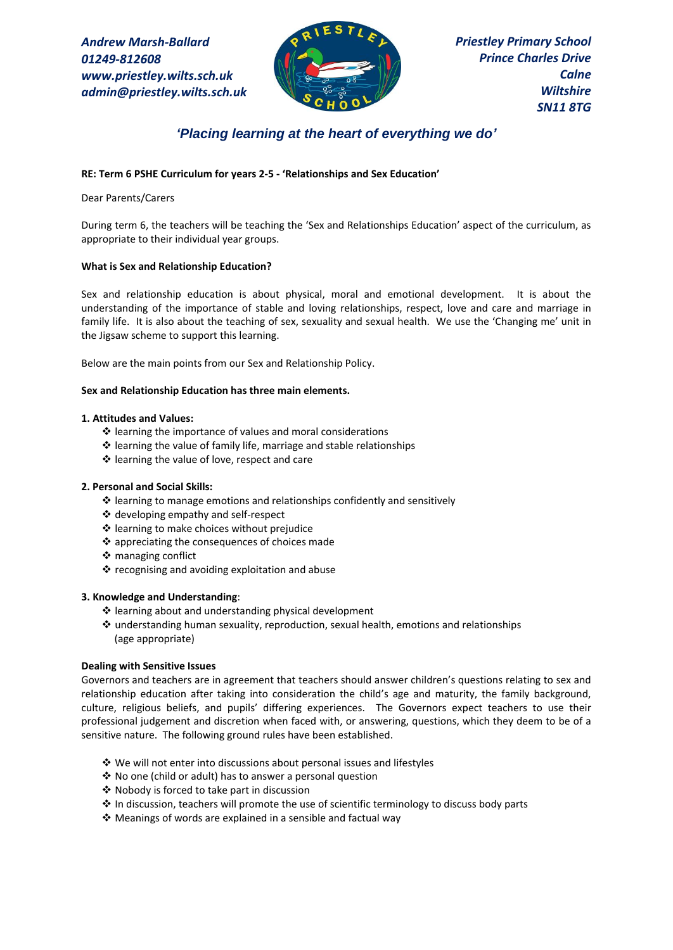*Andrew Marsh-Ballard 01249-812608 www.priestley.wilts.sch.uk admin@priestley.wilts.sch.uk* 



# *'Placing learning at the heart of everything we do'*

## **RE: Term 6 PSHE Curriculum for years 2-5 - 'Relationships and Sex Education'**

Dear Parents/Carers

During term 6, the teachers will be teaching the 'Sex and Relationships Education' aspect of the curriculum, as appropriate to their individual year groups.

### **What is Sex and Relationship Education?**

Sex and relationship education is about physical, moral and emotional development. It is about the understanding of the importance of stable and loving relationships, respect, love and care and marriage in family life. It is also about the teaching of sex, sexuality and sexual health. We use the 'Changing me' unit in the Jigsaw scheme to support this learning.

Below are the main points from our Sex and Relationship Policy.

### **Sex and Relationship Education has three main elements.**

### **1. Attitudes and Values:**

- ❖ learning the importance of values and moral considerations
- ❖ learning the value of family life, marriage and stable relationships
- ❖ learning the value of love, respect and care

### **2. Personal and Social Skills:**

- ❖ learning to manage emotions and relationships confidently and sensitively
- ❖ developing empathy and self-respect
- ❖ learning to make choices without prejudice
- ❖ appreciating the consequences of choices made
- ❖ managing conflict
- ❖ recognising and avoiding exploitation and abuse

### **3. Knowledge and Understanding**:

- ❖ learning about and understanding physical development
- ❖ understanding human sexuality, reproduction, sexual health, emotions and relationships (age appropriate)

### **Dealing with Sensitive Issues**

Governors and teachers are in agreement that teachers should answer children's questions relating to sex and relationship education after taking into consideration the child's age and maturity, the family background, culture, religious beliefs, and pupils' differing experiences. The Governors expect teachers to use their professional judgement and discretion when faced with, or answering, questions, which they deem to be of a sensitive nature. The following ground rules have been established.

- ❖ We will not enter into discussions about personal issues and lifestyles
- ❖ No one (child or adult) has to answer a personal question
- ❖ Nobody is forced to take part in discussion
- ❖ In discussion, teachers will promote the use of scientific terminology to discuss body parts
- ❖ Meanings of words are explained in a sensible and factual way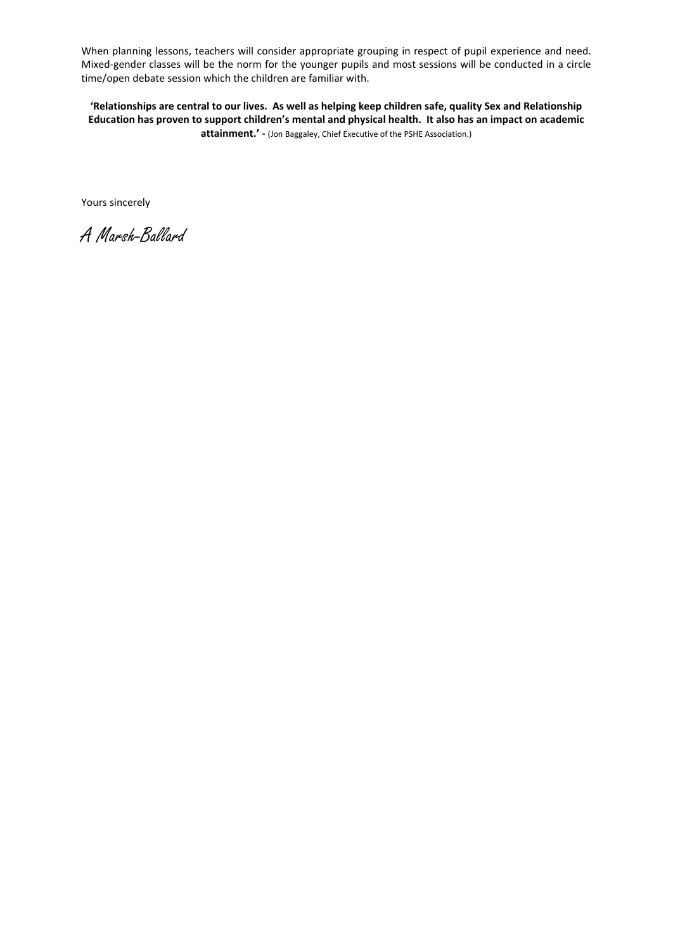When planning lessons, teachers will consider appropriate grouping in respect of pupil experience and need. Mixed-gender classes will be the norm for the younger pupils and most sessions will be conducted in a circle time/open debate session which the children are familiar with.

**'Relationships are central to our lives. As well as helping keep children safe, quality Sex and Relationship Education has proven to support children's mental and physical health. It also has an impact on academic attainment.' -** (Jon Baggaley, Chief Executive of the PSHE Association.)

Yours sincerely

A Marsh-Ballard